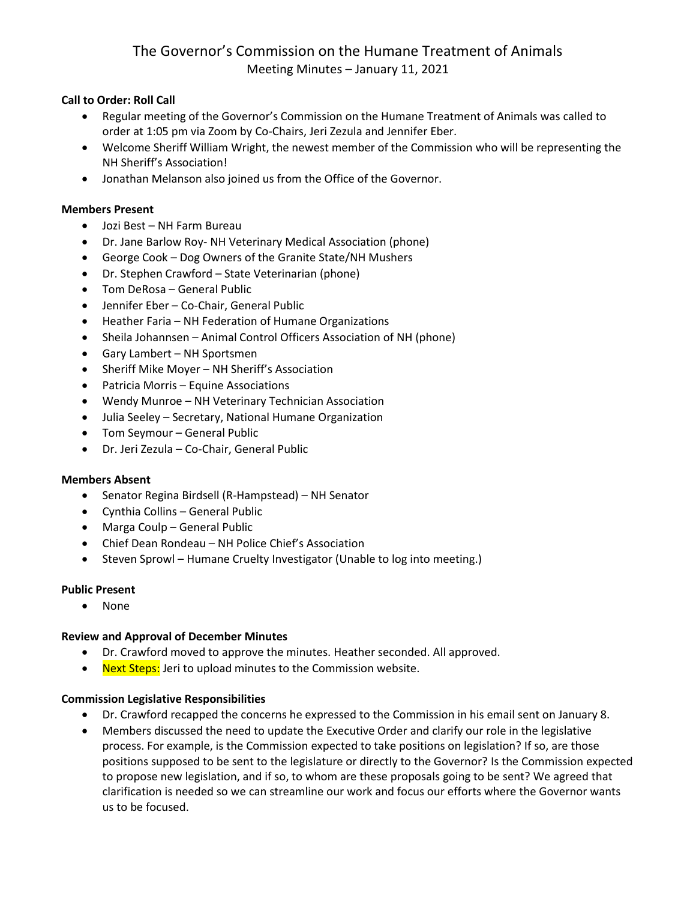# The Governor's Commission on the Humane Treatment of Animals Meeting Minutes – January 11, 2021

### **Call to Order: Roll Call**

- Regular meeting of the Governor's Commission on the Humane Treatment of Animals was called to order at 1:05 pm via Zoom by Co-Chairs, Jeri Zezula and Jennifer Eber.
- Welcome Sheriff William Wright, the newest member of the Commission who will be representing the NH Sheriff's Association!
- Jonathan Melanson also joined us from the Office of the Governor.

#### **Members Present**

- Jozi Best NH Farm Bureau
- Dr. Jane Barlow Roy- NH Veterinary Medical Association (phone)
- George Cook Dog Owners of the Granite State/NH Mushers
- Dr. Stephen Crawford State Veterinarian (phone)
- Tom DeRosa General Public
- Jennifer Eber Co-Chair, General Public
- Heather Faria NH Federation of Humane Organizations
- Sheila Johannsen Animal Control Officers Association of NH (phone)
- Gary Lambert NH Sportsmen
- Sheriff Mike Moyer NH Sheriff's Association
- Patricia Morris Equine Associations
- Wendy Munroe NH Veterinary Technician Association
- Julia Seeley Secretary, National Humane Organization
- Tom Seymour General Public
- Dr. Jeri Zezula Co-Chair, General Public

#### **Members Absent**

- Senator Regina Birdsell (R-Hampstead) NH Senator
- Cynthia Collins General Public
- Marga Coulp General Public
- Chief Dean Rondeau NH Police Chief's Association
- Steven Sprowl Humane Cruelty Investigator (Unable to log into meeting.)

#### **Public Present**

• None

#### **Review and Approval of December Minutes**

- Dr. Crawford moved to approve the minutes. Heather seconded. All approved.
- Next Steps: Jeri to upload minutes to the Commission website.

#### **Commission Legislative Responsibilities**

- Dr. Crawford recapped the concerns he expressed to the Commission in his email sent on January 8.
- Members discussed the need to update the Executive Order and clarify our role in the legislative process. For example, is the Commission expected to take positions on legislation? If so, are those positions supposed to be sent to the legislature or directly to the Governor? Is the Commission expected to propose new legislation, and if so, to whom are these proposals going to be sent? We agreed that clarification is needed so we can streamline our work and focus our efforts where the Governor wants us to be focused.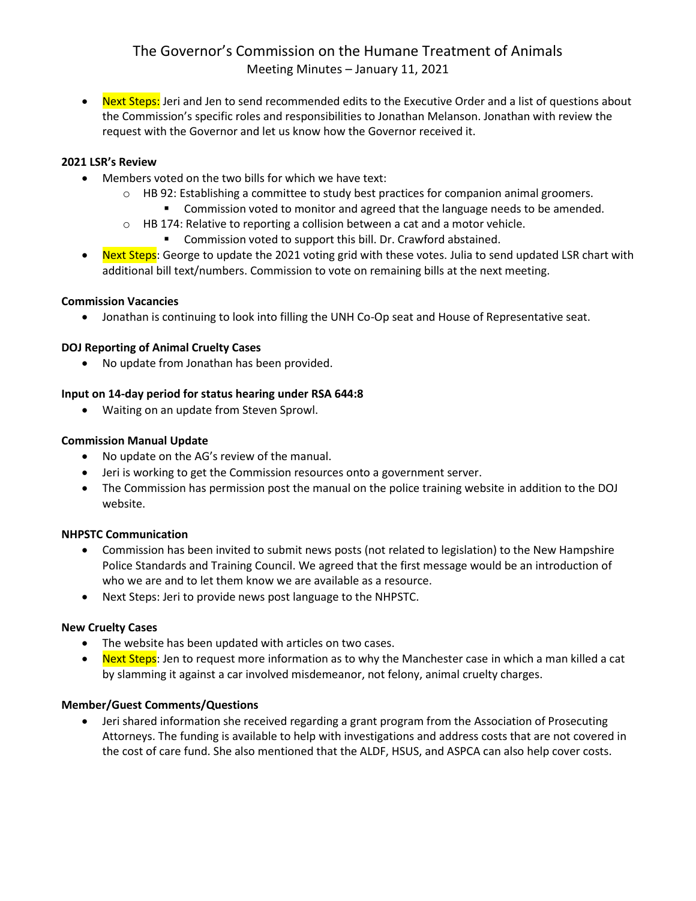# The Governor's Commission on the Humane Treatment of Animals Meeting Minutes – January 11, 2021

• Next Steps: Jeri and Jen to send recommended edits to the Executive Order and a list of questions about the Commission's specific roles and responsibilities to Jonathan Melanson. Jonathan with review the request with the Governor and let us know how the Governor received it.

#### **2021 LSR's Review**

- Members voted on the two bills for which we have text:
	- $\circ$  HB 92: Establishing a committee to study best practices for companion animal groomers.
		- Commission voted to monitor and agreed that the language needs to be amended.
	- $\circ$  HB 174: Relative to reporting a collision between a cat and a motor vehicle.
		- Commission voted to support this bill. Dr. Crawford abstained.
- Next Steps: George to update the 2021 voting grid with these votes. Julia to send updated LSR chart with additional bill text/numbers. Commission to vote on remaining bills at the next meeting.

#### **Commission Vacancies**

Jonathan is continuing to look into filling the UNH Co-Op seat and House of Representative seat.

#### **DOJ Reporting of Animal Cruelty Cases**

No update from Jonathan has been provided.

### **Input on 14-day period for status hearing under RSA 644:8**

Waiting on an update from Steven Sprowl.

### **Commission Manual Update**

- No update on the AG's review of the manual.
- Jeri is working to get the Commission resources onto a government server.
- The Commission has permission post the manual on the police training website in addition to the DOJ website.

#### **NHPSTC Communication**

- Commission has been invited to submit news posts (not related to legislation) to the New Hampshire Police Standards and Training Council. We agreed that the first message would be an introduction of who we are and to let them know we are available as a resource.
- Next Steps: Jeri to provide news post language to the NHPSTC.

#### **New Cruelty Cases**

- The website has been updated with articles on two cases.
- Next Steps: Jen to request more information as to why the Manchester case in which a man killed a cat by slamming it against a car involved misdemeanor, not felony, animal cruelty charges.

#### **Member/Guest Comments/Questions**

 Jeri shared information she received regarding a grant program from the Association of Prosecuting Attorneys. The funding is available to help with investigations and address costs that are not covered in the cost of care fund. She also mentioned that the ALDF, HSUS, and ASPCA can also help cover costs.